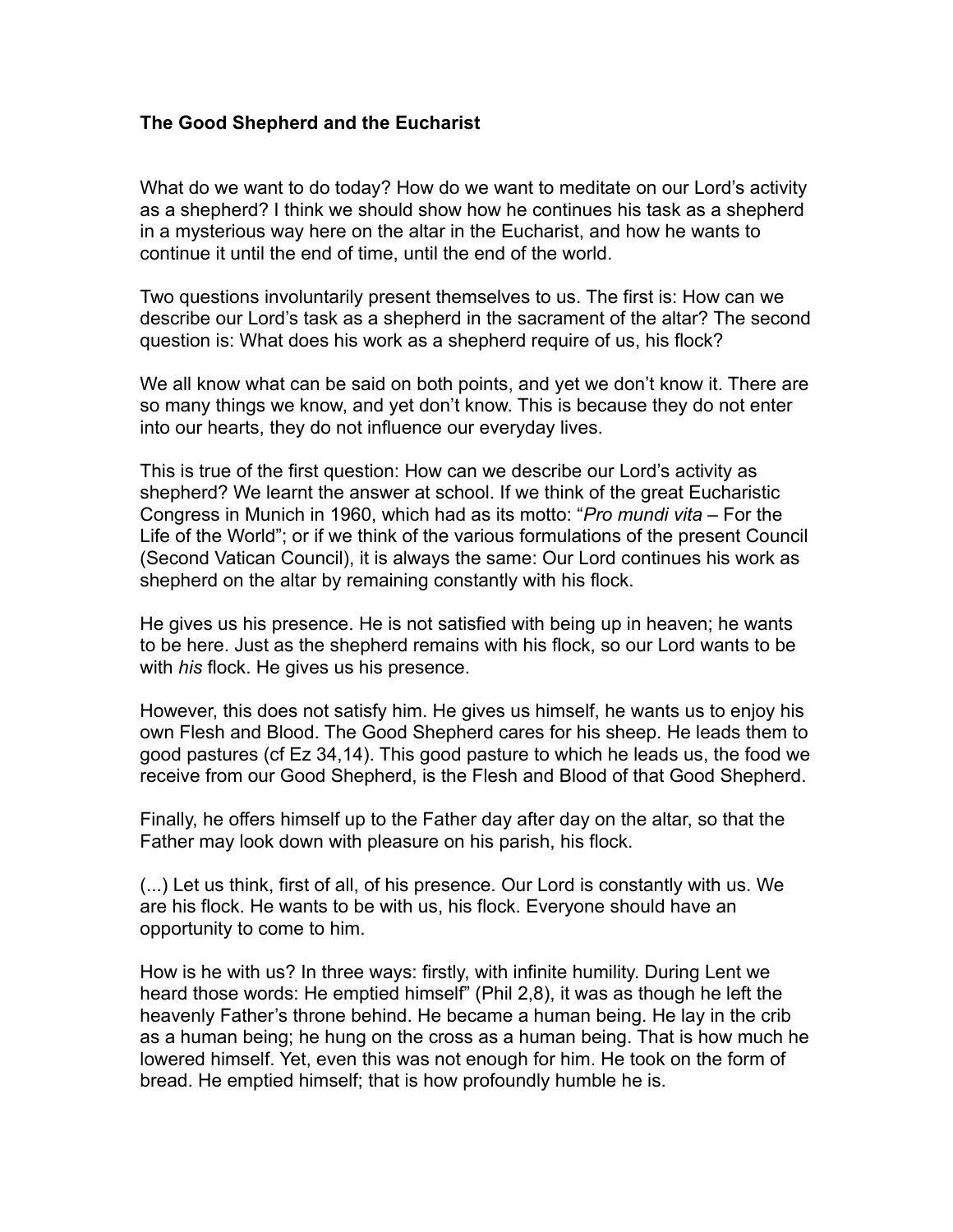## **The Good Shepherd and the Eucharist**

What do we want to do today? How do we want to meditate on our Lord's activity as a shepherd? I think we should show how he continues his task as a shepherd in a mysterious way here on the altar in the Eucharist, and how he wants to continue it until the end of time, until the end of the world.

Two questions involuntarily present themselves to us. The first is: How can we describe our Lord's task as a shepherd in the sacrament of the altar? The second question is: What does his work as a shepherd require of us, his flock?

We all know what can be said on both points, and yet we don't know it. There are so many things we know, and yet don't know. This is because they do not enter into our hearts, they do not influence our everyday lives.

This is true of the first question: How can we describe our Lord's activity as shepherd? We learnt the answer at school. If we think of the great Eucharistic Congress in Munich in 1960, which had as its motto: "*Pro mundi vita –* For the Life of the World"; or if we think of the various formulations of the present Council (Second Vatican Council), it is always the same: Our Lord continues his work as shepherd on the altar by remaining constantly with his flock.

He gives us his presence. He is not satisfied with being up in heaven; he wants to be here. Just as the shepherd remains with his flock, so our Lord wants to be with *his* flock. He gives us his presence.

However, this does not satisfy him. He gives us himself, he wants us to enjoy his own Flesh and Blood. The Good Shepherd cares for his sheep. He leads them to good pastures (cf Ez 34,14). This good pasture to which he leads us, the food we receive from our Good Shepherd, is the Flesh and Blood of that Good Shepherd.

Finally, he offers himself up to the Father day after day on the altar, so that the Father may look down with pleasure on his parish, his flock.

(...) Let us think, first of all, of his presence. Our Lord is constantly with us. We are his flock. He wants to be with us, his flock. Everyone should have an opportunity to come to him.

How is he with us? In three ways: firstly, with infinite humility. During Lent we heard those words: He emptied himself" (Phil 2,8), it was as though he left the heavenly Father's throne behind. He became a human being. He lay in the crib as a human being; he hung on the cross as a human being. That is how much he lowered himself. Yet, even this was not enough for him. He took on the form of bread. He emptied himself; that is how profoundly humble he is.